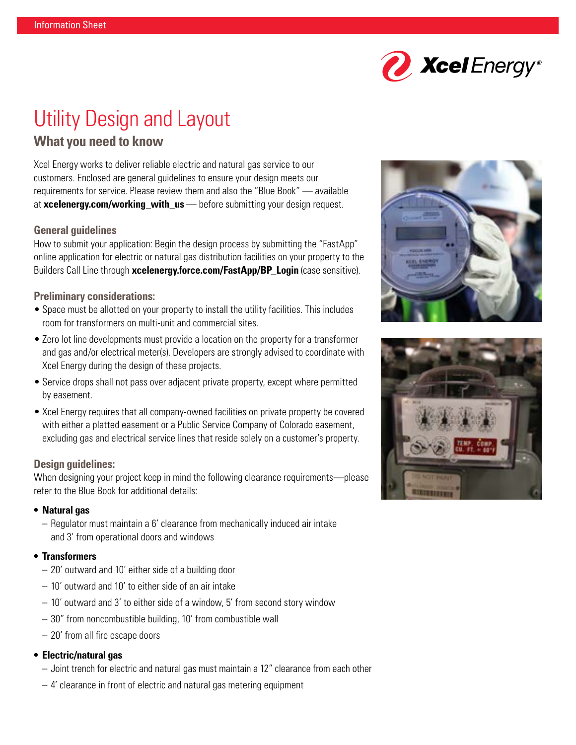

# Utility Design and Layout

# **What you need to know**

Xcel Energy works to deliver reliable electric and natural gas service to our customers. Enclosed are general guidelines to ensure your design meets our requirements for service. Please review them and also the "Blue Book" — available at **[xcelenergy.com/working\\_with\\_u](http://xcelenergy.com/working_with_us)[s](http://www.xcelenergy.com/working_with_us)** — before submitting your design request.

## **General guidelines**

How to submit your application: Begin the design process by submitting the "FastApp" online application for electric or natural gas distribution facilities on your property to the Builders Call Line through **[xcelenergy.force.com/FastApp/BP\\_Login](https://xcelenergy.force.com/FastApp/BP_Login)** (case sensitive).

#### **Preliminary considerations:**

- Space must be allotted on your property to install the utility facilities. This includes room for transformers on multi-unit and commercial sites.
- Zero lot line developments must provide a location on the property for a transformer and gas and/or electrical meter(s). Developers are strongly advised to coordinate with Xcel Energy during the design of these projects.
- Service drops shall not pass over adjacent private property, except where permitted by easement.
- Xcel Energy requires that all company-owned facilities on private property be covered with either a platted easement or a Public Service Company of Colorado easement, excluding gas and electrical service lines that reside solely on a customer's property.

#### **Design guidelines:**

When designing your project keep in mind the following clearance requirements—please refer to the Blue Book for additional details:

#### **• Natural gas**

– Regulator must maintain a 6' clearance from mechanically induced air intake and 3' from operational doors and windows

#### **• Transformers**

- 20' outward and 10' either side of a building door
- 10' outward and 10' to either side of an air intake
- 10' outward and 3' to either side of a window, 5' from second story window
- 30" from noncombustible building, 10' from combustible wall
- 20' from all fire escape doors

#### **• Electric/natural gas**

- Joint trench for electric and natural gas must maintain a 12" clearance from each other
- 4' clearance in front of electric and natural gas metering equipment